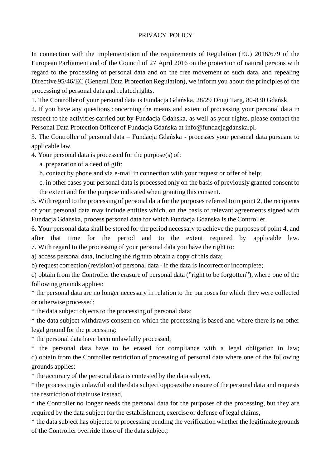## PRIVACY POLICY

In connection with the implementation of the requirements of Regulation (EU) 2016/679 of the European Parliament and of the Council of 27 April 2016 on the protection of natural persons with regard to the processing of personal data and on the free movement of such data, and repealing Directive 95/46/EC (General Data Protection Regulation), we inform you about the principles of the processing of personal data and related rights.

1. The Controller of your personal data is Fundacja Gdańska, 28/29 Długi Targ, 80-830 Gdańsk.

2. If you have any questions concerning the means and extent of processing your personal data in respect to the activities carried out by Fundacja Gdańska, as well as your rights, please contact the Personal Data Protection Officer of Fundacja Gdańska at info@fundacjagdanska.pl.

3. The Controller of personal data – Fundacja Gdańska - processes your personal data pursuant to applicable law.

4. Your personal data is processed for the purpose(s) of:

a. preparation of a deed of gift;

b. contact by phone and via e-mail in connection with your request or offer of help;

c. in other cases your personal data is processed only on the basis of previously granted consent to the extent and for the purpose indicated when granting this consent.

5. With regard to the processing of personal data for the purposes referred to in point 2, the recipients of your personal data may include entities which, on the basis of relevant agreements signed with Fundacja Gdańska, process personal data for which Fundacja Gdańska is the Controller.

6. Your personal data shall be stored for the period necessary to achieve the purposes of point 4, and after that time for the period and to the extent required by applicable law. 7. With regard to the processing of your personal data you have the right to:

a) access personal data, including the right to obtain a copy of this data;

b) request correction (revision) of personal data - if the data is incorrect or incomplete;

c) obtain from the Controller the erasure of personal data ("right to be forgotten"), where one of the following grounds applies:

\* the personal data are no longer necessary in relation to the purposes for which they were collected or otherwise processed;

\* the data subject objects to the processing of personal data;

\* the data subject withdraws consent on which the processing is based and where there is no other legal ground for the processing:

\* the personal data have been unlawfully processed;

\* the personal data have to be erased for compliance with a legal obligation in law; d) obtain from the Controller restriction of processing of personal data where one of the following grounds applies:

\* the accuracy of the personal data is contested by the data subject,

\* the processing is unlawful and the data subject opposesthe erasure of the personal data and requests the restriction of their use instead,

\* the Controller no longer needs the personal data for the purposes of the processing, but they are required by the data subject for the establishment, exercise or defense of legal claims,

\* the data subject has objected to processing pending the verification whether the legitimate grounds of the Controller override those of the data subject;